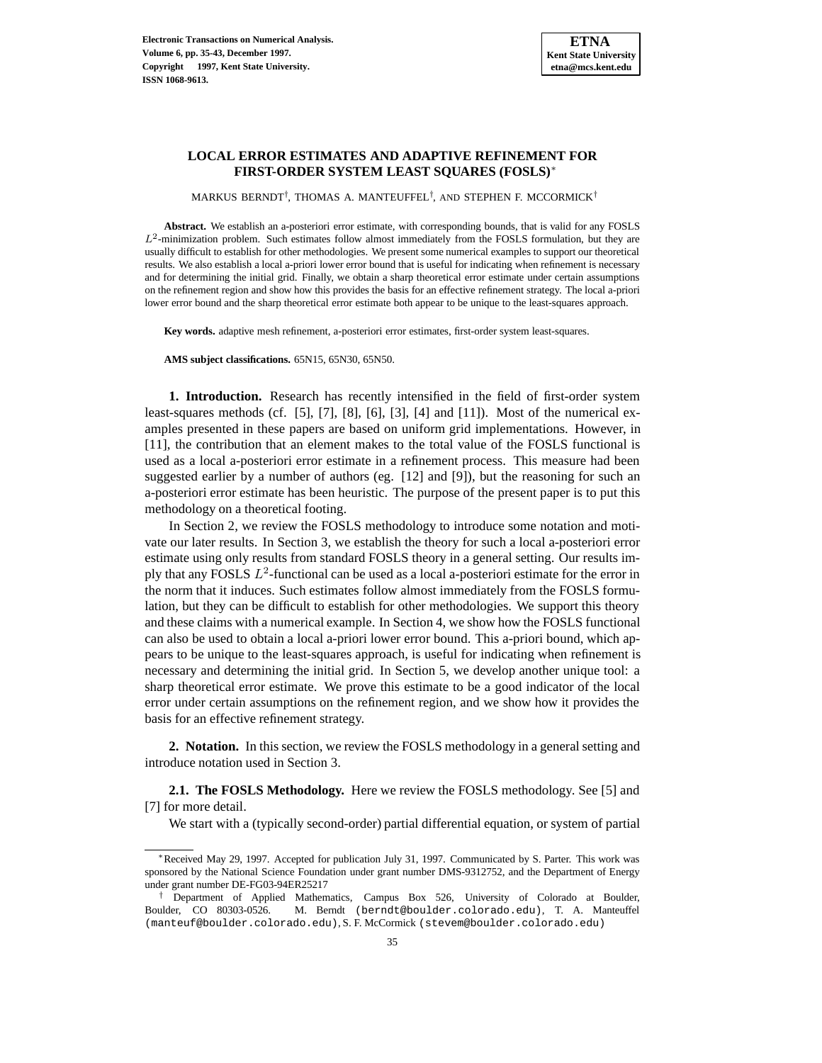## **LOCAL ERROR ESTIMATES AND ADAPTIVE REFINEMENT FOR FIRST-ORDER SYSTEM LEAST SQUARES (FOSLS)**<sup>∗</sup>

<code>MARKUS</code> BERNDT $^{\dagger}$ , THOMAS A. MANTEUFFEL $^{\dagger}$ , AND STEPHEN F. MCCORMICK $^{\dagger}$ 

**Abstract.** We establish an a-posteriori error estimate, with corresponding bounds, that is valid for any FOSLS  $L^2$ -minimization problem. Such estimates follow almost immediately from the FOSLS formulation, but they are usually difficult to establish for other methodologies. We present some numerical examples to support our theoretical results. We also establish a local a-priori lower error bound that is useful for indicating when refinement is necessary and for determining the initial grid. Finally, we obtain a sharp theoretical error estimate under certain assumptions on the refinement region and show how this provides the basis for an effective refinement strategy. The local a-priori lower error bound and the sharp theoretical error estimate both appear to be unique to the least-squares approach.

**Key words.** adaptive mesh refinement, a-posteriori error estimates, first-order system least-squares.

**AMS subject classifications.** 65N15, 65N30, 65N50.

**1. Introduction.** Research has recently intensified in the field of first-order system least-squares methods (cf.  $[5]$ ,  $[7]$ ,  $[8]$ ,  $[6]$ ,  $[3]$ ,  $[4]$  and  $[11]$ ). Most of the numerical examples presented in these papers are based on uniform grid implementations. However, in [11], the contribution that an element makes to the total value of the FOSLS functional is used as a local a-posteriori error estimate in a refinement process. This measure had been suggested earlier by a number of authors (eg. [12] and [9]), but the reasoning for such an a-posteriori error estimate has been heuristic. The purpose of the present paper is to put this methodology on a theoretical footing.

In Section 2, we review the FOSLS methodology to introduce some notation and motivate our later results. In Section 3, we establish the theory for such a local a-posteriori error estimate using only results from standard FOSLS theory in a general setting. Our results imply that any FOSLS  $L^2$ -functional can be used as a local a-posteriori estimate for the error in the norm that it induces. Such estimates follow almost immediately from the FOSLS formulation, but they can be difficult to establish for other methodologies. We support this theory and these claims with a numerical example. In Section 4, we show how the FOSLS functional can also be used to obtain a local a-priori lower error bound. This a-priori bound, which appears to be unique to the least-squares approach, is useful for indicating when refinement is necessary and determining the initial grid. In Section 5, we develop another unique tool: a sharp theoretical error estimate. We prove this estimate to be a good indicator of the local error under certain assumptions on the refinement region, and we show how it provides the basis for an effective refinement strategy.

**2. Notation.** In this section, we review the FOSLS methodology in a general setting and introduce notation used in Section 3.

**2.1. The FOSLS Methodology.** Here we review the FOSLS methodology. See [5] and [7] for more detail.

We start with a (typically second-order) partial differential equation, or system of partial

<sup>∗</sup>Received May 29, 1997. Accepted for publication July 31, 1997. Communicated by S. Parter. This work was sponsored by the National Science Foundation under grant number DMS-9312752, and the Department of Energy under grant number DE-FG03-94ER25217

<sup>†</sup> Department of Applied Mathematics, Campus Box 526, University of Colorado at Boulder, Boulder, CO 80303-0526. M. Berndt (berndt@boulder.colorado.edu), T. A. Manteuffel (manteuf@boulder.colorado.edu), S. F. McCormick (stevem@boulder.colorado.edu)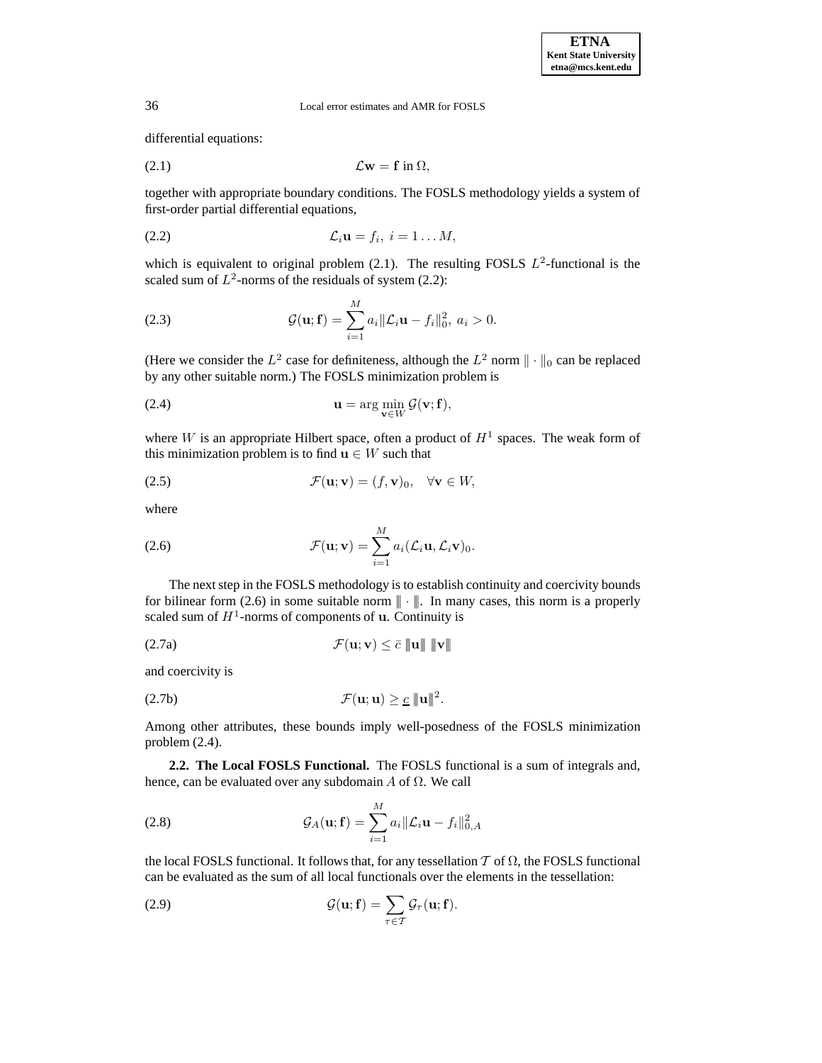differential equations:

$$
(2.1) \t\t \mathcal{L}\mathbf{w} = \mathbf{f} \text{ in } \Omega,
$$

together with appropriate boundary conditions. The FOSLS methodology yields a system of first-order partial differential equations,

$$
(2.2) \t\t\t \mathcal{L}_i \mathbf{u} = f_i, \ i = 1 \ldots M,
$$

which is equivalent to original problem (2.1). The resulting FOSLS  $L^2$ -functional is the scaled sum of  $L^2$ -norms of the residuals of system (2.2):

(2.3) 
$$
\mathcal{G}(\mathbf{u}; \mathbf{f}) = \sum_{i=1}^{M} a_i ||\mathcal{L}_i \mathbf{u} - f_i||_0^2, \ a_i > 0.
$$

(Here we consider the  $L^2$  case for definiteness, although the  $L^2$  norm  $\|\cdot\|_0$  can be replaced by any other suitable norm.) The FOSLS minimization problem is

(2.4) 
$$
\mathbf{u} = \arg\min_{\mathbf{v} \in W} \mathcal{G}(\mathbf{v}; \mathbf{f}),
$$

where W is an appropriate Hilbert space, often a product of  $H<sup>1</sup>$  spaces. The weak form of this minimization problem is to find  $\mathbf{u} \in W$  such that

(2.5) 
$$
\mathcal{F}(\mathbf{u}; \mathbf{v}) = (f, \mathbf{v})_0, \quad \forall \mathbf{v} \in W,
$$

where

(2.6) 
$$
\mathcal{F}(\mathbf{u}; \mathbf{v}) = \sum_{i=1}^{M} a_i (\mathcal{L}_i \mathbf{u}, \mathcal{L}_i \mathbf{v})_0.
$$

The next step in the FOSLS methodology is to establish continuity and coercivity bounds for bilinear form (2.6) in some suitable norm  $\|\cdot\|$ . In many cases, this norm is a properly scaled sum of  $H^1$ -norms of components of **u**. Continuity is

M

$$
\mathcal{F}(\mathbf{u}; \mathbf{v}) \leq \bar{c} \|\mathbf{u}\| \|\mathbf{v}\|
$$

and coercivity is

$$
\mathcal{F}(\mathbf{u};\mathbf{u}) \geq \underline{c} \|\mathbf{u}\|^2.
$$

Among other attributes, these bounds imply well-posedness of the FOSLS minimization problem  $(2.4)$ .

**2.2. The Local FOSLS Functional.** The FOSLS functional is a sum of integrals and, hence, can be evaluated over any subdomain  $A$  of  $\Omega$ . We call

(2.8) 
$$
\mathcal{G}_A(\mathbf{u}; \mathbf{f}) = \sum_{i=1}^M a_i ||\mathcal{L}_i \mathbf{u} - f_i||_{0, A}^2
$$

the local FOSLS functional. It follows that, for any tessellation  $T$  of  $\Omega$ , the FOSLS functional can be evaluated as the sum of all local functionals over the elements in the tessellation:

(2.9) 
$$
\mathcal{G}(\mathbf{u}; \mathbf{f}) = \sum_{\tau \in \mathcal{T}} \mathcal{G}_{\tau}(\mathbf{u}; \mathbf{f}).
$$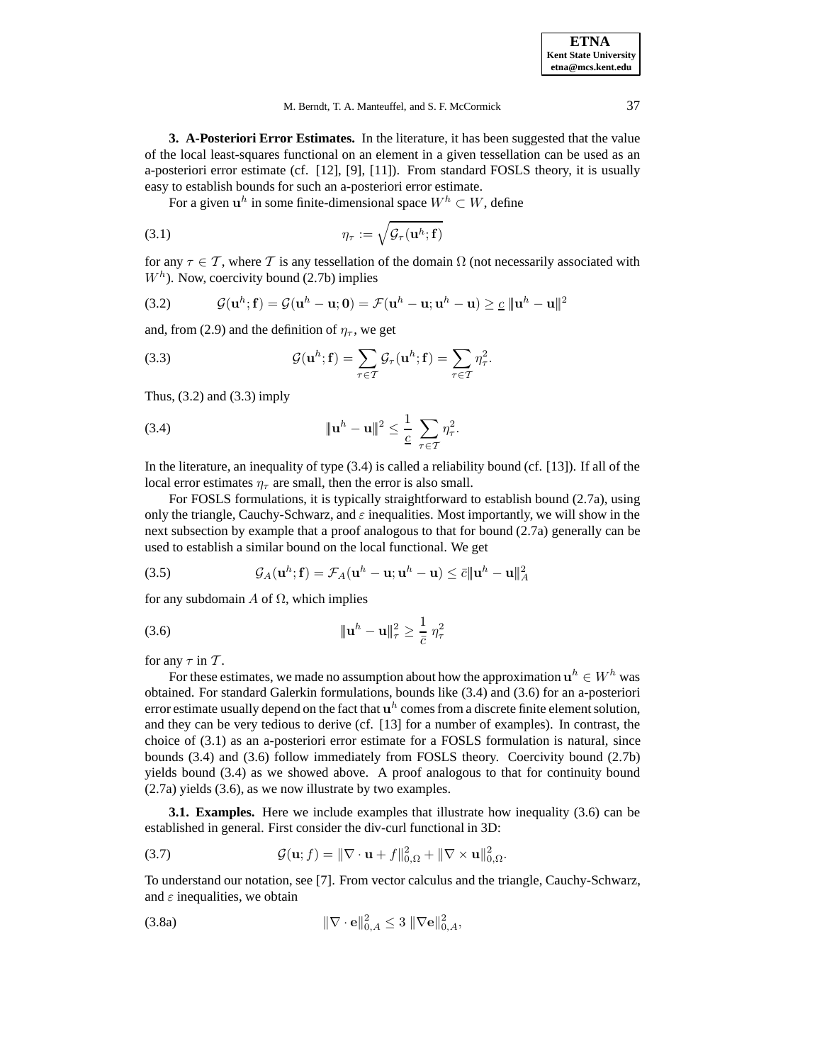**ETNA Kent State University etna@mcs.kent.edu**

M. Berndt, T. A. Manteuffel, and S. F. McCormick 37

**3. A-Posteriori Error Estimates.** In the literature, it has been suggested that the value of the local least-squares functional on an element in a given tessellation can be used as an a-posteriori error estimate (cf. [12], [9], [11]). From standard FOSLS theory, it is usually easy to establish bounds for such an a-posteriori error estimate.

For a given  $\mathbf{u}^h$  in some finite-dimensional space  $W^h \subset W$ , define

(3.1) 
$$
\eta_{\tau} := \sqrt{\mathcal{G}_{\tau}(\mathbf{u}^{h}; \mathbf{f})}
$$

for any  $\tau \in \mathcal{T}$ , where T is any tessellation of the domain  $\Omega$  (not necessarily associated with  $W<sup>h</sup>$ ). Now, coercivity bound (2.7b) implies

(3.2) 
$$
\mathcal{G}(\mathbf{u}^h; \mathbf{f}) = \mathcal{G}(\mathbf{u}^h - \mathbf{u}; \mathbf{0}) = \mathcal{F}(\mathbf{u}^h - \mathbf{u}; \mathbf{u}^h - \mathbf{u}) \geq \underline{c} \|\mathbf{u}^h - \mathbf{u}\|^2
$$

and, from (2.9) and the definition of  $\eta_{\tau}$ , we get

(3.3) 
$$
\mathcal{G}(\mathbf{u}^h; \mathbf{f}) = \sum_{\tau \in \mathcal{T}} \mathcal{G}_{\tau}(\mathbf{u}^h; \mathbf{f}) = \sum_{\tau \in \mathcal{T}} \eta_{\tau}^2.
$$

Thus,  $(3.2)$  and  $(3.3)$  imply

(3.4) 
$$
\|\mathbf{u}^h - \mathbf{u}\|^2 \leq \frac{1}{c} \sum_{\tau \in \mathcal{T}} \eta_{\tau}^2.
$$

In the literature, an inequality of type (3.4) is called a reliability bound (cf. [13]). If all of the local error estimates  $\eta_{\tau}$  are small, then the error is also small.

For FOSLS formulations, it is typically straightforward to establish bound (2.7a), using only the triangle, Cauchy-Schwarz, and  $\varepsilon$  inequalities. Most importantly, we will show in the next subsection by example that a proof analogous to that for bound (2.7a) generally can be used to establish a similar bound on the local functional. We get

(3.5) 
$$
\mathcal{G}_A(\mathbf{u}^h; \mathbf{f}) = \mathcal{F}_A(\mathbf{u}^h - \mathbf{u}; \mathbf{u}^h - \mathbf{u}) \leq \bar{c} \|\mathbf{u}^h - \mathbf{u}\|_A^2
$$

for any subdomain  $A$  of  $\Omega$ , which implies

(3.6) 
$$
\|\mathbf{u}^{h} - \mathbf{u}\|_{\tau}^{2} \geq \frac{1}{\bar{c}} \eta_{\tau}^{2}
$$

for any  $\tau$  in  $\mathcal{T}$ .

For these estimates, we made no assumption about how the approximation  $\mathbf{u}^h \in W^h$  was obtained. For standard Galerkin formulations, bounds like (3.4) and (3.6) for an a-posteriori error estimate usually depend on the fact that  $\mathbf{u}^h$  comes from a discrete finite element solution, and they can be very tedious to derive (cf. [13] for a number of examples). In contrast, the choice of (3.1) as an a-posteriori error estimate for a FOSLS formulation is natural, since bounds (3.4) and (3.6) follow immediately from FOSLS theory. Coercivity bound (2.7b) yields bound (3.4) as we showed above. A proof analogous to that for continuity bound (2.7a) yields (3.6), as we now illustrate by two examples.

**3.1. Examples.** Here we include examples that illustrate how inequality (3.6) can be established in general. First consider the div-curl functional in 3D:

(3.7) 
$$
\mathcal{G}(\mathbf{u};f) = \|\nabla \cdot \mathbf{u} + f\|_{0,\Omega}^2 + \|\nabla \times \mathbf{u}\|_{0,\Omega}^2.
$$

To understand our notation, see [7]. From vector calculus and the triangle, Cauchy-Schwarz, and  $\varepsilon$  inequalities, we obtain

$$
\|\nabla \cdot \mathbf{e}\|_{0,A}^2 \le 3 \|\nabla \mathbf{e}\|_{0,A}^2,
$$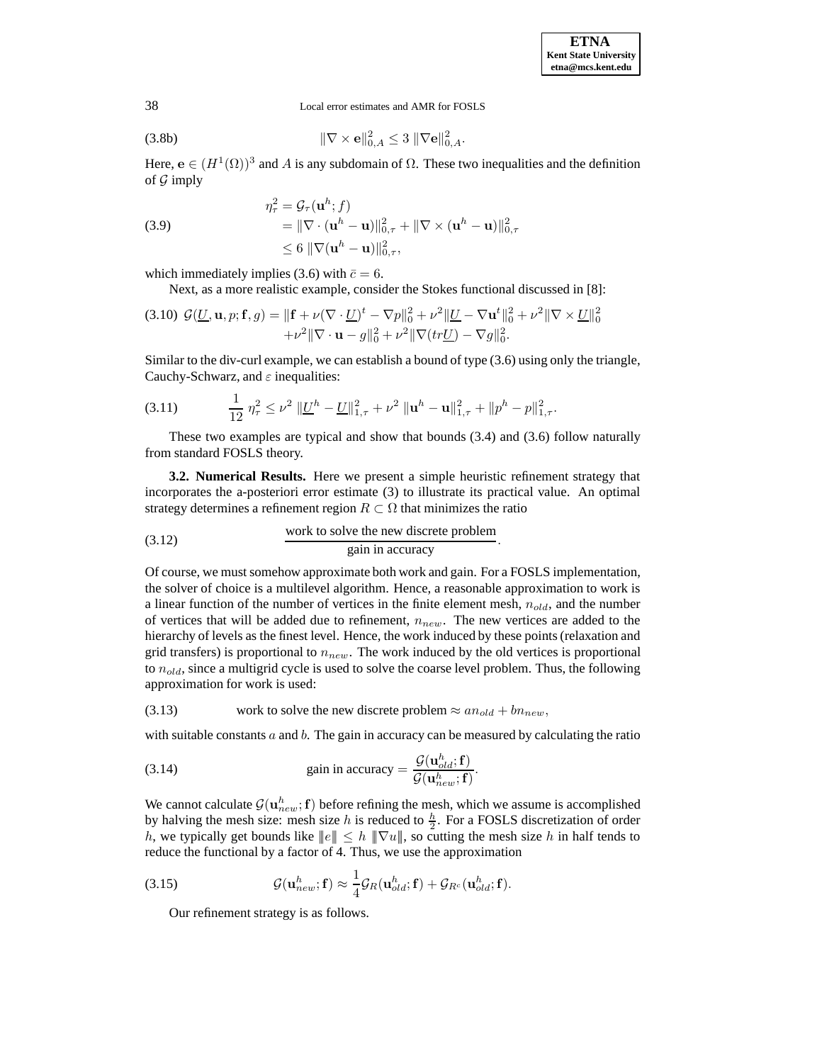(3.8b) 
$$
\|\nabla \times \mathbf{e}\|_{0,A}^2 \le 3 \|\nabla \mathbf{e}\|_{0,A}^2.
$$

Here,  $\mathbf{e} \in (H^1(\Omega))^3$  and A is any subdomain of  $\Omega$ . These two inequalities and the definition of  $\mathcal G$  imply

(3.9)  
\n
$$
\eta_{\tau}^{2} = \mathcal{G}_{\tau}(\mathbf{u}^{h}; f)
$$
\n
$$
= \|\nabla \cdot (\mathbf{u}^{h} - \mathbf{u})\|_{0,\tau}^{2} + \|\nabla \times (\mathbf{u}^{h} - \mathbf{u})\|_{0,\tau}^{2}
$$
\n
$$
\leq 6 \|\nabla (\mathbf{u}^{h} - \mathbf{u})\|_{0,\tau}^{2},
$$

which immediately implies (3.6) with  $\bar{c} = 6$ .

Next, as a more realistic example, consider the Stokes functional discussed in [8]:

$$
(3.10) \mathcal{G}(\underline{U}, \mathbf{u}, p; \mathbf{f}, g) = \|\mathbf{f} + \nu(\nabla \cdot \underline{U})^t - \nabla p\|_0^2 + \nu^2 \|\underline{U} - \nabla \mathbf{u}^t\|_0^2 + \nu^2 \|\nabla \times \underline{U}\|_0^2
$$

$$
+ \nu^2 \|\nabla \cdot \mathbf{u} - g\|_0^2 + \nu^2 \|\nabla (tr\underline{U}) - \nabla g\|_0^2.
$$

Similar to the div-curl example, we can establish a bound of type (3.6) using only the triangle, Cauchy-Schwarz, and  $\varepsilon$  inequalities:

$$
(3.11) \qquad \qquad \frac{1}{12} \, \eta_\tau^2 \le \nu^2 \, \|\underline{U}^h - \underline{U}\|_{1,\tau}^2 + \nu^2 \, \|\mathbf{u}^h - \mathbf{u}\|_{1,\tau}^2 + \|p^h - p\|_{1,\tau}^2.
$$

These two examples are typical and show that bounds (3.4) and (3.6) follow naturally from standard FOSLS theory.

**3.2. Numerical Results.** Here we present a simple heuristic refinement strategy that incorporates the a-posteriori error estimate (3) to illustrate its practical value. An optimal strategy determines a refinement region  $R \subset \Omega$  that minimizes the ratio

$$
(3.12)
$$
 work to solve the new discrete problem  
gain in accuracy.

Of course, we must somehow approximate both work and gain. For a FOSLS implementation, the solver of choice is a multilevel algorithm. Hence, a reasonable approximation to work is a linear function of the number of vertices in the finite element mesh,  $n_{old}$ , and the number of vertices that will be added due to refinement,  $n_{new}$ . The new vertices are added to the hierarchy of levels as the finest level. Hence, the work induced by these points (relaxation and grid transfers) is proportional to  $n_{new}$ . The work induced by the old vertices is proportional to  $n_{old}$ , since a multigrid cycle is used to solve the coarse level problem. Thus, the following approximation for work is used:

(3.13) work to solve the new discrete problem  $\approx$   $an_{old} + bn_{new}$ ,

with suitable constants  $a$  and  $b$ . The gain in accuracy can be measured by calculating the ratio

(3.14) gain in accuracy = 
$$
\frac{\mathcal{G}(\mathbf{u}_{old}^h; \mathbf{f})}{\mathcal{G}(\mathbf{u}_{new}^h; \mathbf{f})}.
$$

We cannot calculate  $\mathcal{G}(\mathbf{u}_{new}^h; \mathbf{f})$  before refining the mesh, which we assume is accomplished by halving the mesh size: mesh size h is reduced to  $\frac{h}{2}$ . For a FOSLS discretization of order h, we typically get bounds like  $||e|| \leq h ||\nabla u||$ , so cutting the mesh size h in half tends to reduce the functional by a factor of 4. Thus, we use the approximation

(3.15) 
$$
\mathcal{G}(\mathbf{u}_{new}^h; \mathbf{f}) \approx \frac{1}{4} \mathcal{G}_R(\mathbf{u}_{old}^h; \mathbf{f}) + \mathcal{G}_{R^c}(\mathbf{u}_{old}^h; \mathbf{f}).
$$

Our refinement strategy is as follows.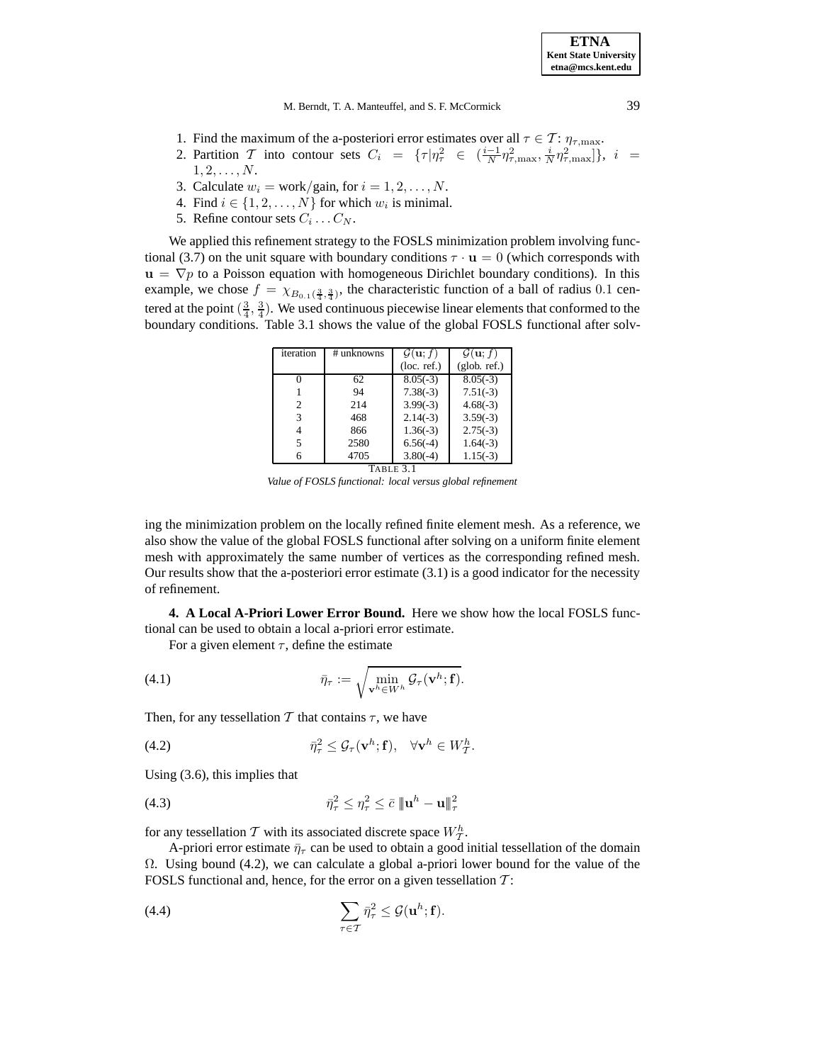M. Berndt, T. A. Manteuffel, and S. F. McCormick 39

- 1. Find the maximum of the a-posteriori error estimates over all  $\tau \in \mathcal{T}$ :  $\eta_{\tau,\text{max}}$ .
- 2. Partition T into contour sets  $C_i = {\tau | \eta_\tau^2 \in (\frac{i-1}{N} \eta_{\tau,\max}^2, \frac{i}{N} \eta_{\tau,\max}^2)}$ ,  $i =$  $1, 2, \ldots, N.$
- 3. Calculate  $w_i = \text{work/gain}$ , for  $i = 1, 2, \dots, N$ .
- 4. Find  $i \in \{1, 2, \ldots, N\}$  for which  $w_i$  is minimal.
- 5. Refine contour sets  $C_i \dots C_N$ .

We applied this refinement strategy to the FOSLS minimization problem involving functional (3.7) on the unit square with boundary conditions  $\tau \cdot \mathbf{u} = 0$  (which corresponds with  $\mathbf{u} = \nabla p$  to a Poisson equation with homogeneous Dirichlet boundary conditions). In this example, we chose  $f = \chi_{B_{0.1}(\frac{3}{4},\frac{3}{4})}$ , the characteristic function of a ball of radius 0.1 centered at the point  $(\frac{3}{4}, \frac{3}{4})$ . We used continuous piecewise linear elements that conformed to the boundary conditions. Table 3.1 shows the value of the global FOSLS functional after solv-

| iteration      | # unknowns | $\mathcal{G}(\mathbf{u};f)$ | $\mathcal{G}(\mathbf{u};f)$ |
|----------------|------------|-----------------------------|-----------------------------|
|                |            | (loc. ref.)                 | (glob. ref.)                |
|                | 62         | $8.05(-3)$                  | $8.05(-3)$                  |
|                | 94         | $7.38(-3)$                  | $7.51(-3)$                  |
| $\overline{c}$ | 214        | $3.99(-3)$                  | $4.68(-3)$                  |
| 3              | 468        | $2.14(-3)$                  | $3.59(-3)$                  |
|                | 866        | $1.36(-3)$                  | $2.75(-3)$                  |
| 5              | 2580       | $6.56(-4)$                  | $1.64(-3)$                  |
|                | 4705       | $3.80(-4)$                  | $1.15(-3)$                  |
| Table 3.1      |            |                             |                             |

*Value of FOSLS functional: local versus global refinement*

ing the minimization problem on the locally refined finite element mesh. As a reference, we also show the value of the global FOSLS functional after solving on a uniform finite element mesh with approximately the same number of vertices as the corresponding refined mesh. Our results show that the a-posteriori error estimate  $(3.1)$  is a good indicator for the necessity of refinement.

**4. A Local A-Priori Lower Error Bound.** Here we show how the local FOSLS functional can be used to obtain a local a-priori error estimate.

For a given element  $\tau$ , define the estimate

(4.1) 
$$
\bar{\eta}_{\tau} := \sqrt{\min_{\mathbf{v}^h \in W^h} \mathcal{G}_{\tau}(\mathbf{v}^h; \mathbf{f})}.
$$

Then, for any tessellation T that contains  $\tau$ , we have

(4.2) 
$$
\bar{\eta}_{\tau}^2 \leq \mathcal{G}_{\tau}(\mathbf{v}^h; \mathbf{f}), \quad \forall \mathbf{v}^h \in W_{\mathcal{T}}^h.
$$

Using (3.6), this implies that

$$
\bar{\eta}_{\tau}^2 \leq \eta_{\tau}^2 \leq \bar{c} \parallel \mathbf{u}^h - \mathbf{u} \parallel_{\tau}^2
$$

for any tessellation T with its associated discrete space  $W_T^h$ .

A-priori error estimate  $\bar{\eta}_{\tau}$  can be used to obtain a good initial tessellation of the domain  $\Omega$ . Using bound (4.2), we can calculate a global a-priori lower bound for the value of the FOSLS functional and, hence, for the error on a given tessellation  $T$ :

(4.4) 
$$
\sum_{\tau \in \mathcal{T}} \bar{\eta}_{\tau}^2 \leq \mathcal{G}(\mathbf{u}^h; \mathbf{f}).
$$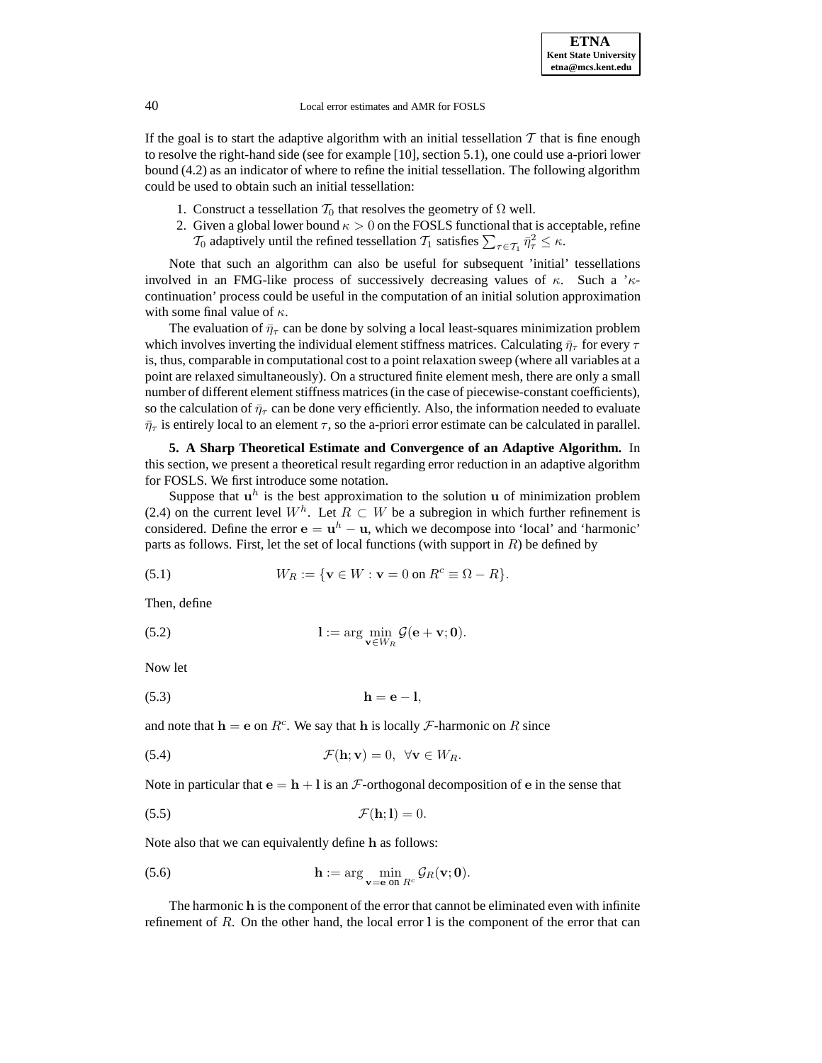If the goal is to start the adaptive algorithm with an initial tessellation  $T$  that is fine enough to resolve the right-hand side (see for example [10], section 5.1), one could use a-priori lower bound (4.2) as an indicator of where to refine the initial tessellation. The following algorithm could be used to obtain such an initial tessellation:

- 1. Construct a tessellation  $T_0$  that resolves the geometry of  $\Omega$  well.
- 2. Given a global lower bound  $\kappa > 0$  on the FOSLS functional that is acceptable, refine  $\mathcal{T}_0$  adaptively until the refined tessellation  $\mathcal{T}_1$  satisfies  $\sum_{\tau \in \mathcal{T}_1} \bar{\eta}_{\tau}^2 \leq \kappa$ .

Note that such an algorithm can also be useful for subsequent 'initial' tessellations involved in an FMG-like process of successively decreasing values of  $\kappa$ . Such a ' $\kappa$ continuation' process could be useful in the computation of an initial solution approximation with some final value of  $\kappa$ .

The evaluation of  $\bar{\eta}_{\tau}$  can be done by solving a local least-squares minimization problem which involves inverting the individual element stiffness matrices. Calculating  $\bar{\eta}_{\tau}$  for every  $\tau$ is, thus, comparable in computational cost to a point relaxation sweep (where all variables at a point are relaxed simultaneously). On a structured finite element mesh, there are only a small number of different element stiffness matrices (in the case of piecewise-constant coefficients), so the calculation of  $\bar{\eta}_{\tau}$  can be done very efficiently. Also, the information needed to evaluate  $\bar{\eta}_{\tau}$  is entirely local to an element  $\tau$ , so the a-priori error estimate can be calculated in parallel.

**5. A Sharp Theoretical Estimate and Convergence of an Adaptive Algorithm.** In this section, we present a theoretical result regarding error reduction in an adaptive algorithm for FOSLS. We first introduce some notation.

Suppose that  $\mathbf{u}^h$  is the best approximation to the solution  $\mathbf{u}$  of minimization problem (2.4) on the current level  $W<sup>h</sup>$ . Let  $R \subset W$  be a subregion in which further refinement is considered. Define the error  $\mathbf{e} = \mathbf{u}^h - \mathbf{u}$ , which we decompose into 'local' and 'harmonic' parts as follows. First, let the set of local functions (with support in  $R$ ) be defined by

(5.1) 
$$
W_R := \{ \mathbf{v} \in W : \mathbf{v} = 0 \text{ on } R^c \equiv \Omega - R \}.
$$

Then, define

(5.2) 
$$
1 := \arg\min_{\mathbf{v} \in W_R} \mathcal{G}(\mathbf{e} + \mathbf{v}; \mathbf{0}).
$$

Now let

$$
h = e - l,
$$

and note that  $h = e$  on  $R^c$ . We say that h is locally  $\mathcal F$ -harmonic on R since

(5.4) 
$$
\mathcal{F}(\mathbf{h}; \mathbf{v}) = 0, \ \forall \mathbf{v} \in W_R.
$$

Note in particular that  $\mathbf{e} = \mathbf{h} + \mathbf{l}$  is an F-orthogonal decomposition of  $\mathbf{e}$  in the sense that

$$
\mathcal{F}(\mathbf{h};\mathbf{l}) = 0.
$$

Note also that we can equivalently define **h** as follows:

(5.6) 
$$
\mathbf{h} := \arg \min_{\mathbf{v} = \mathbf{e} \text{ on } R^c} \mathcal{G}_R(\mathbf{v}; \mathbf{0}).
$$

The harmonic **h** is the component of the error that cannot be eliminated even with infinite refinement of R. On the other hand, the local error **l** is the component of the error that can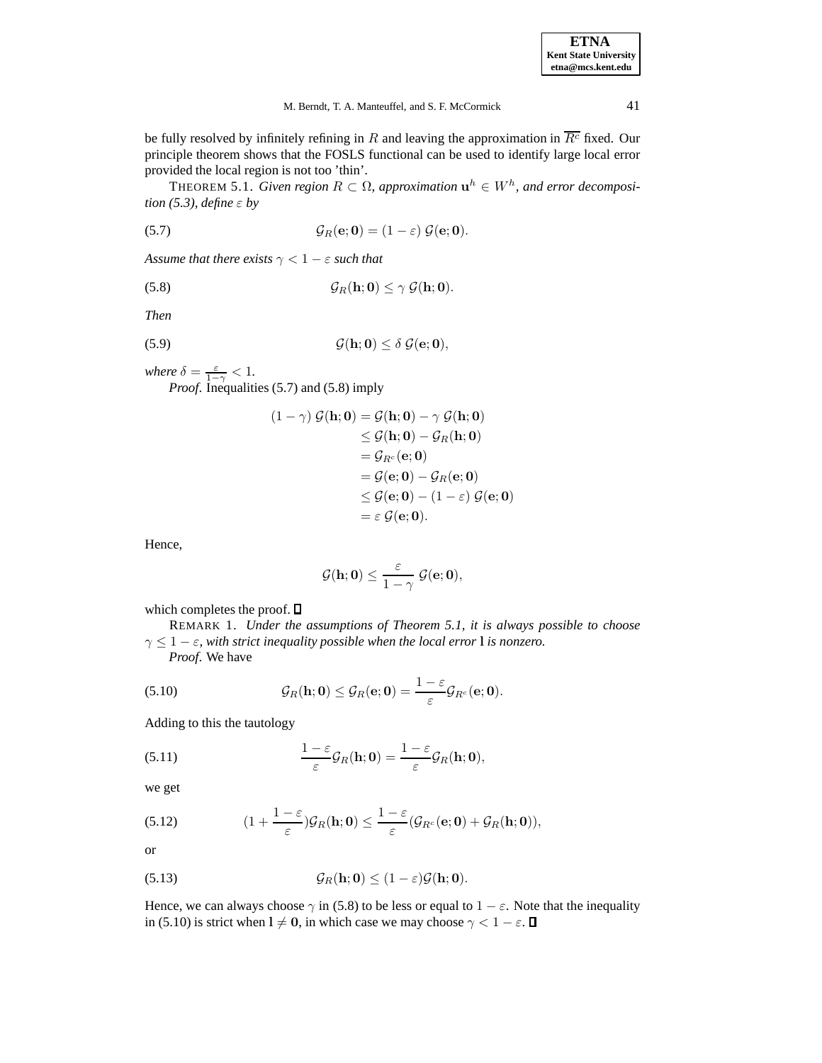be fully resolved by infinitely refining in R and leaving the approximation in  $\overline{R^c}$  fixed. Our principle theorem shows that the FOSLS functional can be used to identify large local error provided the local region is not too 'thin'.

THEOREM 5.1. *Given region*  $R \subset \Omega$ , *approximation*  $\mathbf{u}^h \in W^h$ , *and error decomposition (5.3), define* ε *by*

(5.7) 
$$
\mathcal{G}_R(\mathbf{e};\mathbf{0}) = (1-\varepsilon) \mathcal{G}(\mathbf{e};\mathbf{0}).
$$

*Assume that there exists*  $\gamma < 1 - \varepsilon$  *such that* 

$$
\mathcal{G}_R(\mathbf{h};\mathbf{0}) \leq \gamma \mathcal{G}(\mathbf{h};\mathbf{0}).
$$

*Then*

$$
\mathcal{G}(\mathbf{h};\mathbf{0}) \leq \delta \mathcal{G}(\mathbf{e};\mathbf{0}),
$$

*where*  $\delta = \frac{\varepsilon}{1-\gamma} < 1$ .

*Proof*. Inequalities (5.7) and (5.8) imply

$$
(1 - \gamma) \mathcal{G}(\mathbf{h}; \mathbf{0}) = \mathcal{G}(\mathbf{h}; \mathbf{0}) - \gamma \mathcal{G}(\mathbf{h}; \mathbf{0})
$$
  
\n
$$
\leq \mathcal{G}(\mathbf{h}; \mathbf{0}) - \mathcal{G}_R(\mathbf{h}; \mathbf{0})
$$
  
\n
$$
= \mathcal{G}_{R^c}(\mathbf{e}; \mathbf{0})
$$
  
\n
$$
= \mathcal{G}(\mathbf{e}; \mathbf{0}) - \mathcal{G}_R(\mathbf{e}; \mathbf{0})
$$
  
\n
$$
\leq \mathcal{G}(\mathbf{e}; \mathbf{0}) - (1 - \varepsilon) \mathcal{G}(\mathbf{e}; \mathbf{0})
$$
  
\n
$$
= \varepsilon \mathcal{G}(\mathbf{e}; \mathbf{0}).
$$

Hence,

$$
\mathcal{G}(\mathbf{h};\mathbf{0}) \leq \frac{\varepsilon}{1-\gamma} \ \mathcal{G}(\mathbf{e};\mathbf{0}),
$$

which completes the proof.  $\square$ 

REMARK 1. *Under the assumptions of Theorem 5.1, it is always possible to choose*  $\gamma \leq 1 - \varepsilon$ , with strict inequality possible when the local error **l** is nonzero. *Proof*. We have

(5.10) 
$$
\mathcal{G}_R(\mathbf{h};\mathbf{0}) \leq \mathcal{G}_R(\mathbf{e};\mathbf{0}) = \frac{1-\varepsilon}{\varepsilon} \mathcal{G}_{R^c}(\mathbf{e};\mathbf{0}).
$$

Adding to this the tautology

(5.11) 
$$
\frac{1-\varepsilon}{\varepsilon}\mathcal{G}_R(\mathbf{h};\mathbf{0}) = \frac{1-\varepsilon}{\varepsilon}\mathcal{G}_R(\mathbf{h};\mathbf{0}),
$$

we get

(5.12) 
$$
(1+\frac{1-\varepsilon}{\varepsilon})\mathcal{G}_R(\mathbf{h};\mathbf{0}) \leq \frac{1-\varepsilon}{\varepsilon}(\mathcal{G}_{R^c}(\mathbf{e};\mathbf{0}) + \mathcal{G}_R(\mathbf{h};\mathbf{0})),
$$

or

(5.13) 
$$
\mathcal{G}_R(\mathbf{h};\mathbf{0}) \leq (1-\varepsilon)\mathcal{G}(\mathbf{h};\mathbf{0}).
$$

Hence, we can always choose  $\gamma$  in (5.8) to be less or equal to  $1 - \varepsilon$ . Note that the inequality in (5.10) is strict when  $l \neq 0$ , in which case we may choose  $\gamma < 1 - \varepsilon$ .  $\Box$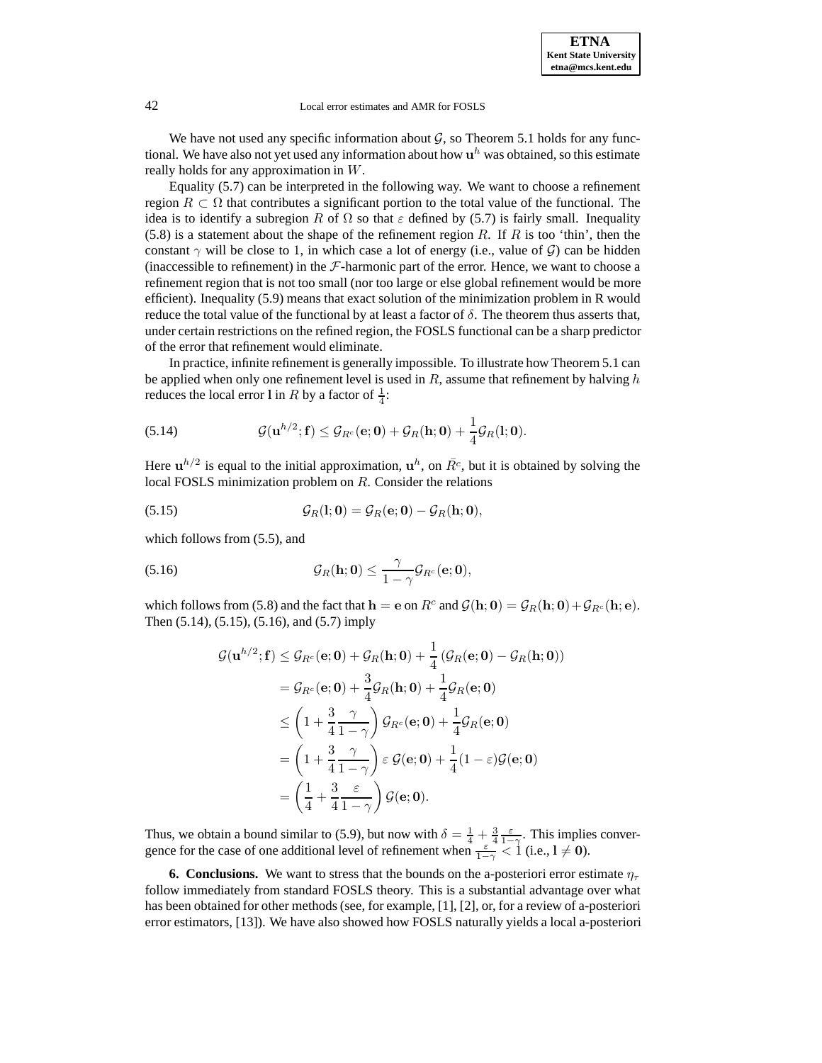We have not used any specific information about  $G$ , so Theorem 5.1 holds for any functional. We have also not yet used any information about how  $\mathbf{u}^h$  was obtained, so this estimate really holds for any approximation in W.

Equality (5.7) can be interpreted in the following way. We want to choose a refinement region  $R \subset \Omega$  that contributes a significant portion to the total value of the functional. The idea is to identify a subregion R of  $\Omega$  so that  $\varepsilon$  defined by (5.7) is fairly small. Inequality  $(5.8)$  is a statement about the shape of the refinement region R. If R is too 'thin', then the constant  $\gamma$  will be close to 1, in which case a lot of energy (i.e., value of  $\mathcal{G}$ ) can be hidden (inaccessible to refinement) in the  $F$ -harmonic part of the error. Hence, we want to choose a refinement region that is not too small (nor too large or else global refinement would be more efficient). Inequality (5.9) means that exact solution of the minimization problem in R would reduce the total value of the functional by at least a factor of  $\delta$ . The theorem thus asserts that, under certain restrictions on the refined region, the FOSLS functional can be a sharp predictor of the error that refinement would eliminate.

In practice, infinite refinement is generally impossible. To illustrate how Theorem 5.1 can be applied when only one refinement level is used in  $R$ , assume that refinement by halving  $h$ reduces the local error l in R by a factor of  $\frac{1}{4}$ :

(5.14) 
$$
\mathcal{G}(\mathbf{u}^{h/2};\mathbf{f}) \leq \mathcal{G}_{R^c}(\mathbf{e};\mathbf{0}) + \mathcal{G}_R(\mathbf{h};\mathbf{0}) + \frac{1}{4}\mathcal{G}_R(\mathbf{l};\mathbf{0}).
$$

Here  $\mathbf{u}^{h/2}$  is equal to the initial approximation,  $\mathbf{u}^h$ , on  $\bar{R}^c$ , but it is obtained by solving the local FOSLS minimization problem on R. Consider the relations

(5.15) 
$$
\mathcal{G}_R(\mathbf{l};\mathbf{0}) = \mathcal{G}_R(\mathbf{e};\mathbf{0}) - \mathcal{G}_R(\mathbf{h};\mathbf{0}),
$$

which follows from (5.5), and

(5.16) 
$$
\mathcal{G}_R(\mathbf{h};\mathbf{0}) \leq \frac{\gamma}{1-\gamma} \mathcal{G}_{R^c}(\mathbf{e};\mathbf{0}),
$$

which follows from (5.8) and the fact that  $\mathbf{h} = \mathbf{e}$  on  $R^c$  and  $\mathcal{G}(\mathbf{h}; \mathbf{0}) = \mathcal{G}_R(\mathbf{h}; \mathbf{0}) + \mathcal{G}_{R^c}(\mathbf{h}; \mathbf{e})$ . Then (5.14), (5.15), (5.16), and (5.7) imply

$$
\begin{aligned} \mathcal{G}(\mathbf{u}^{h/2}; \mathbf{f}) &\leq \mathcal{G}_{R^c}(\mathbf{e}; \mathbf{0}) + \mathcal{G}_R(\mathbf{h}; \mathbf{0}) + \frac{1}{4}\left(\mathcal{G}_R(\mathbf{e}; \mathbf{0}) - \mathcal{G}_R(\mathbf{h}; \mathbf{0})\right) \\ &= \mathcal{G}_{R^c}(\mathbf{e}; \mathbf{0}) + \frac{3}{4}\mathcal{G}_R(\mathbf{h}; \mathbf{0}) + \frac{1}{4}\mathcal{G}_R(\mathbf{e}; \mathbf{0}) \\ &\leq \left(1 + \frac{3}{4}\frac{\gamma}{1 - \gamma}\right)\mathcal{G}_{R^c}(\mathbf{e}; \mathbf{0}) + \frac{1}{4}\mathcal{G}_R(\mathbf{e}; \mathbf{0}) \\ &= \left(1 + \frac{3}{4}\frac{\gamma}{1 - \gamma}\right)\varepsilon \mathcal{G}(\mathbf{e}; \mathbf{0}) + \frac{1}{4}(1 - \varepsilon)\mathcal{G}(\mathbf{e}; \mathbf{0}) \\ &= \left(\frac{1}{4} + \frac{3}{4}\frac{\varepsilon}{1 - \gamma}\right)\mathcal{G}(\mathbf{e}; \mathbf{0}). \end{aligned}
$$

Thus, we obtain a bound similar to (5.9), but now with  $\delta = \frac{1}{4} + \frac{3}{4} \frac{\epsilon}{1-\gamma}$ . This implies convergence for the case of one additional level of refinement when  $\frac{\epsilon}{1-\gamma} < 1$  (i.e.,  $l \neq 0$ ).

**6. Conclusions.** We want to stress that the bounds on the a-posteriori error estimate  $\eta_{\tau}$ follow immediately from standard FOSLS theory. This is a substantial advantage over what has been obtained for other methods (see, for example, [1], [2], or, for a review of a-posteriori error estimators, [13]). We have also showed how FOSLS naturally yields a local a-posteriori